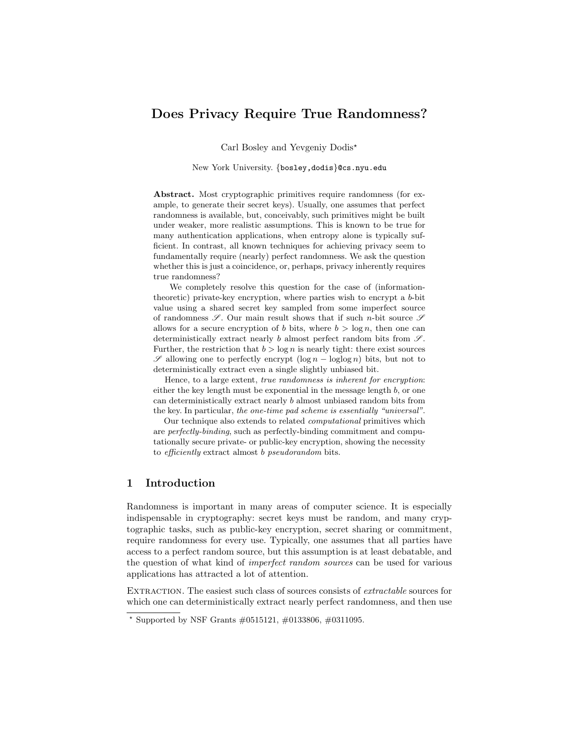# Does Privacy Require True Randomness?

Carl Bosley and Yevgeniy Dodis<sup>\*</sup>

New York University. {bosley,dodis}@cs.nyu.edu

Abstract. Most cryptographic primitives require randomness (for example, to generate their secret keys). Usually, one assumes that perfect randomness is available, but, conceivably, such primitives might be built under weaker, more realistic assumptions. This is known to be true for many authentication applications, when entropy alone is typically sufficient. In contrast, all known techniques for achieving privacy seem to fundamentally require (nearly) perfect randomness. We ask the question whether this is just a coincidence, or, perhaps, privacy inherently requires true randomness?

We completely resolve this question for the case of (informationtheoretic) private-key encryption, where parties wish to encrypt a b-bit value using a shared secret key sampled from some imperfect source of randomness  $\mathscr{S}$ . Our main result shows that if such *n*-bit source  $\mathscr{S}$ allows for a secure encryption of b bits, where  $b > \log n$ , then one can deterministically extract nearly b almost perfect random bits from  $\mathscr{S}$ . Further, the restriction that  $b > \log n$  is nearly tight: there exist sources  $\mathscr S$  allowing one to perfectly encrypt (log n − loglog n) bits, but not to deterministically extract even a single slightly unbiased bit.

Hence, to a large extent, *true randomness is inherent for encryption*: either the key length must be exponential in the message length b, or one can deterministically extract nearly b almost unbiased random bits from the key. In particular, the one-time pad scheme is essentially "universal".

Our technique also extends to related computational primitives which are perfectly-binding, such as perfectly-binding commitment and computationally secure private- or public-key encryption, showing the necessity to efficiently extract almost b pseudorandom bits.

# 1 Introduction

Randomness is important in many areas of computer science. It is especially indispensable in cryptography: secret keys must be random, and many cryptographic tasks, such as public-key encryption, secret sharing or commitment, require randomness for every use. Typically, one assumes that all parties have access to a perfect random source, but this assumption is at least debatable, and the question of what kind of imperfect random sources can be used for various applications has attracted a lot of attention.

EXTRACTION. The easiest such class of sources consists of *extractable* sources for which one can deterministically extract nearly perfect randomness, and then use

 $\star$  Supported by NSF Grants  $\#0515121$ ,  $\#0133806$ ,  $\#0311095$ .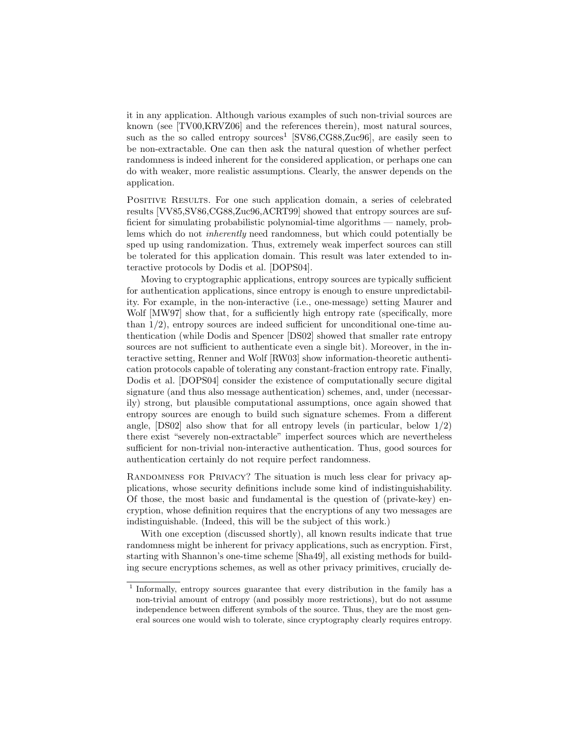it in any application. Although various examples of such non-trivial sources are known (see [TV00,KRVZ06] and the references therein), most natural sources, such as the so called entropy sources<sup>1</sup> [SV86,CG88,Zuc96], are easily seen to be non-extractable. One can then ask the natural question of whether perfect randomness is indeed inherent for the considered application, or perhaps one can do with weaker, more realistic assumptions. Clearly, the answer depends on the application.

POSITIVE RESULTS. For one such application domain, a series of celebrated results [VV85,SV86,CG88,Zuc96,ACRT99] showed that entropy sources are sufficient for simulating probabilistic polynomial-time algorithms — namely, problems which do not inherently need randomness, but which could potentially be sped up using randomization. Thus, extremely weak imperfect sources can still be tolerated for this application domain. This result was later extended to interactive protocols by Dodis et al. [DOPS04].

Moving to cryptographic applications, entropy sources are typically sufficient for authentication applications, since entropy is enough to ensure unpredictability. For example, in the non-interactive (i.e., one-message) setting Maurer and Wolf [MW97] show that, for a sufficiently high entropy rate (specifically, more than  $1/2$ ), entropy sources are indeed sufficient for unconditional one-time authentication (while Dodis and Spencer [DS02] showed that smaller rate entropy sources are not sufficient to authenticate even a single bit). Moreover, in the interactive setting, Renner and Wolf [RW03] show information-theoretic authentication protocols capable of tolerating any constant-fraction entropy rate. Finally, Dodis et al. [DOPS04] consider the existence of computationally secure digital signature (and thus also message authentication) schemes, and, under (necessarily) strong, but plausible computational assumptions, once again showed that entropy sources are enough to build such signature schemes. From a different angle,  $[DS02]$  also show that for all entropy levels (in particular, below  $1/2$ ) there exist "severely non-extractable" imperfect sources which are nevertheless sufficient for non-trivial non-interactive authentication. Thus, good sources for authentication certainly do not require perfect randomness.

Randomness for Privacy? The situation is much less clear for privacy applications, whose security definitions include some kind of indistinguishability. Of those, the most basic and fundamental is the question of (private-key) encryption, whose definition requires that the encryptions of any two messages are indistinguishable. (Indeed, this will be the subject of this work.)

With one exception (discussed shortly), all known results indicate that true randomness might be inherent for privacy applications, such as encryption. First, starting with Shannon's one-time scheme [Sha49], all existing methods for building secure encryptions schemes, as well as other privacy primitives, crucially de-

<sup>&</sup>lt;sup>1</sup> Informally, entropy sources guarantee that every distribution in the family has a non-trivial amount of entropy (and possibly more restrictions), but do not assume independence between different symbols of the source. Thus, they are the most general sources one would wish to tolerate, since cryptography clearly requires entropy.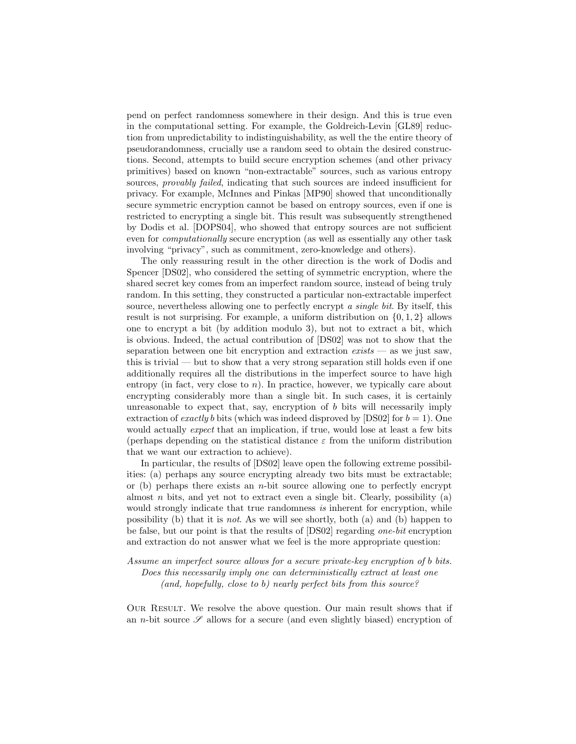pend on perfect randomness somewhere in their design. And this is true even in the computational setting. For example, the Goldreich-Levin [GL89] reduction from unpredictability to indistinguishability, as well the the entire theory of pseudorandomness, crucially use a random seed to obtain the desired constructions. Second, attempts to build secure encryption schemes (and other privacy primitives) based on known "non-extractable" sources, such as various entropy sources, provably failed, indicating that such sources are indeed insufficient for privacy. For example, McInnes and Pinkas [MP90] showed that unconditionally secure symmetric encryption cannot be based on entropy sources, even if one is restricted to encrypting a single bit. This result was subsequently strengthened by Dodis et al. [DOPS04], who showed that entropy sources are not sufficient even for computationally secure encryption (as well as essentially any other task involving "privacy", such as commitment, zero-knowledge and others).

The only reassuring result in the other direction is the work of Dodis and Spencer [DS02], who considered the setting of symmetric encryption, where the shared secret key comes from an imperfect random source, instead of being truly random. In this setting, they constructed a particular non-extractable imperfect source, nevertheless allowing one to perfectly encrypt a single bit. By itself, this result is not surprising. For example, a uniform distribution on  $\{0, 1, 2\}$  allows one to encrypt a bit (by addition modulo 3), but not to extract a bit, which is obvious. Indeed, the actual contribution of [DS02] was not to show that the separation between one bit encryption and extraction  $exists$  — as we just saw, this is trivial — but to show that a very strong separation still holds even if one additionally requires all the distributions in the imperfect source to have high entropy (in fact, very close to  $n$ ). In practice, however, we typically care about encrypting considerably more than a single bit. In such cases, it is certainly unreasonable to expect that, say, encryption of  $b$  bits will necessarily imply extraction of *exactly b* bits (which was indeed disproved by [DS02] for  $b = 1$ ). One would actually *expect* that an implication, if true, would lose at least a few bits (perhaps depending on the statistical distance  $\varepsilon$  from the uniform distribution that we want our extraction to achieve).

In particular, the results of [DS02] leave open the following extreme possibilities: (a) perhaps any source encrypting already two bits must be extractable; or (b) perhaps there exists an  $n$ -bit source allowing one to perfectly encrypt almost *n* bits, and yet not to extract even a single bit. Clearly, possibility (a) would strongly indicate that true randomness is inherent for encryption, while possibility (b) that it is not. As we will see shortly, both (a) and (b) happen to be false, but our point is that the results of [DS02] regarding one-bit encryption and extraction do not answer what we feel is the more appropriate question:

Assume an imperfect source allows for a secure private-key encryption of b bits. Does this necessarily imply one can deterministically extract at least one (and, hopefully, close to b) nearly perfect bits from this source?

Our Result. We resolve the above question. Our main result shows that if an *n*-bit source  $\mathscr S$  allows for a secure (and even slightly biased) encryption of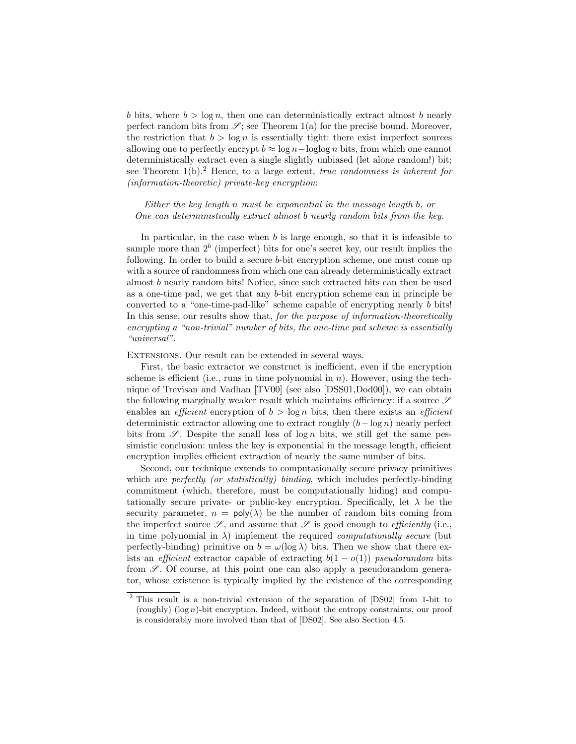b bits, where  $b > \log n$ , then one can deterministically extract almost b nearly perfect random bits from  $\mathscr{S}$ ; see Theorem 1(a) for the precise bound. Moreover, the restriction that  $b > \log n$  is essentially tight: there exist imperfect sources allowing one to perfectly encrypt  $b \approx \log n - \log \log n$  bits, from which one cannot deterministically extract even a single slightly unbiased (let alone random!) bit; see Theorem  $1(b)$ .<sup>2</sup> Hence, to a large extent, true randomness is inherent for (information-theoretic) private-key encryption:

### Either the key length n must be exponential in the message length b, or One can deterministically extract almost b nearly random bits from the key.

In particular, in the case when  $b$  is large enough, so that it is infeasible to sample more than  $2<sup>b</sup>$  (imperfect) bits for one's secret key, our result implies the following. In order to build a secure b-bit encryption scheme, one must come up with a source of randomness from which one can already deterministically extract almost b nearly random bits! Notice, since such extracted bits can then be used as a one-time pad, we get that any b-bit encryption scheme can in principle be converted to a "one-time-pad-like" scheme capable of encrypting nearly b bits! In this sense, our results show that, for the purpose of information-theoretically encrypting a "non-trivial" number of bits, the one-time pad scheme is essentially "universal".

Extensions. Our result can be extended in several ways.

First, the basic extractor we construct is inefficient, even if the encryption scheme is efficient (i.e., runs in time polynomial in  $n$ ). However, using the technique of Trevisan and Vadhan [TV00] (see also [DSS01,Dod00]), we can obtain the following marginally weaker result which maintains efficiency: if a source  $\mathscr S$ enables an *efficient* encryption of  $b > log n$  bits, then there exists an *efficient* deterministic extractor allowing one to extract roughly  $(b - \log n)$  nearly perfect bits from  $\mathscr{S}$ . Despite the small loss of log *n* bits, we still get the same pessimistic conclusion: unless the key is exponential in the message length, efficient encryption implies efficient extraction of nearly the same number of bits.

Second, our technique extends to computationally secure privacy primitives which are *perfectly (or statistically) binding*, which includes perfectly-binding commitment (which, therefore, must be computationally hiding) and computationally secure private- or public-key encryption. Specifically, let  $\lambda$  be the security parameter,  $n = \text{poly}(\lambda)$  be the number of random bits coming from the imperfect source  $\mathscr{S}$ , and assume that  $\mathscr{S}$  is good enough to *efficiently* (i.e., in time polynomial in  $\lambda$ ) implement the required *computationally secure* (but perfectly-binding) primitive on  $b = \omega(\log \lambda)$  bits. Then we show that there exists an efficient extractor capable of extracting  $b(1 - o(1))$  pseudorandom bits from  $\mathscr{S}$ . Of course, at this point one can also apply a pseudorandom generator, whose existence is typically implied by the existence of the corresponding

<sup>2</sup> This result is a non-trivial extension of the separation of [DS02] from 1-bit to (roughly)  $(\log n)$ -bit encryption. Indeed, without the entropy constraints, our proof is considerably more involved than that of [DS02]. See also Section 4.5.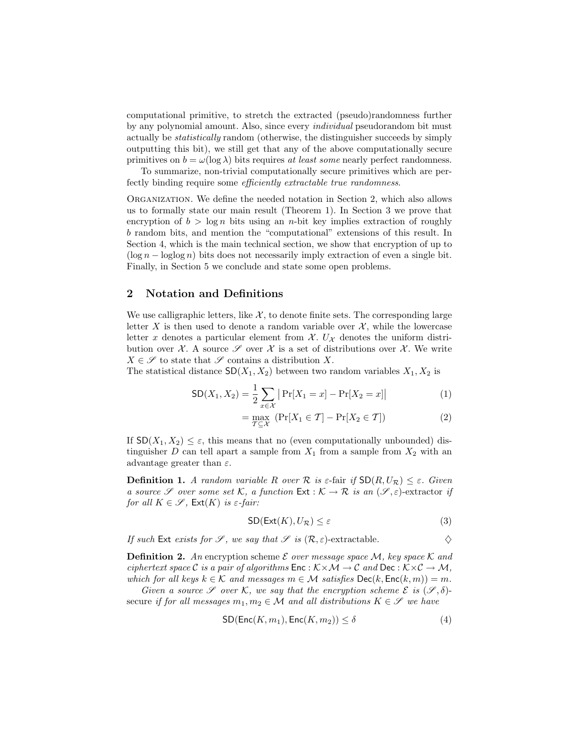computational primitive, to stretch the extracted (pseudo)randomness further by any polynomial amount. Also, since every individual pseudorandom bit must actually be statistically random (otherwise, the distinguisher succeeds by simply outputting this bit), we still get that any of the above computationally secure primitives on  $b = \omega(\log \lambda)$  bits requires at least some nearly perfect randomness.

To summarize, non-trivial computationally secure primitives which are perfectly binding require some efficiently extractable true randomness.

Organization. We define the needed notation in Section 2, which also allows us to formally state our main result (Theorem 1). In Section 3 we prove that encryption of  $b > \log n$  bits using an *n*-bit key implies extraction of roughly b random bits, and mention the "computational" extensions of this result. In Section 4, which is the main technical section, we show that encryption of up to  $(\log n - \log(\log n))$  bits does not necessarily imply extraction of even a single bit. Finally, in Section 5 we conclude and state some open problems.

# 2 Notation and Definitions

We use calligraphic letters, like  $X$ , to denote finite sets. The corresponding large letter X is then used to denote a random variable over  $\mathcal{X}$ , while the lowercase letter x denotes a particular element from  $\mathcal{X}$ .  $U_{\mathcal{X}}$  denotes the uniform distribution over  $\mathcal{X}$ . A source  $\mathcal S$  over  $\mathcal X$  is a set of distributions over  $\mathcal X$ . We write  $X \in \mathscr{S}$  to state that  $\mathscr{S}$  contains a distribution X.

The statistical distance  $SD(X_1, X_2)$  between two random variables  $X_1, X_2$  is

$$
SD(X_1, X_2) = \frac{1}{2} \sum_{x \in \mathcal{X}} |Pr[X_1 = x] - Pr[X_2 = x]|
$$
\n(1)

$$
= \max_{\mathcal{T} \subseteq \mathcal{X}} \left( \Pr[X_1 \in \mathcal{T}] - \Pr[X_2 \in \mathcal{T}] \right) \tag{2}
$$

If  $SD(X_1, X_2) \leq \varepsilon$ , this means that no (even computationally unbounded) distinguisher D can tell apart a sample from  $X_1$  from a sample from  $X_2$  with an advantage greater than  $\varepsilon$ .

**Definition 1.** A random variable R over R is  $\varepsilon$ -fair if  $SD(R, U_R) \leq \varepsilon$ . Given a source  $\mathscr S$  over some set K, a function  $\mathsf{Ext} : \mathcal K \to \mathcal R$  is an  $(\mathscr S, \varepsilon)$ -extractor if for all  $K \in \mathscr{S}$ ,  $\mathsf{Ext}(K)$  is  $\varepsilon$ -fair:

$$
SD(Ext(K), U_{\mathcal{R}}) \le \varepsilon
$$
\n(3)

If such Ext exists for  $\mathscr{S}$ , we say that  $\mathscr{S}$  is  $(\mathcal{R}, \varepsilon)$ -extractable.  $\diamondsuit$ 

**Definition 2.** An encryption scheme  $\mathcal E$  over message space  $\mathcal M$ , key space  $\mathcal K$  and ciphertext space C is a pair of algorithms  $\textsf{Enc}: \mathcal{K} \times \mathcal{M} \to \mathcal{C}$  and  $\textsf{Dec}: \mathcal{K} \times \mathcal{C} \to \mathcal{M}$ , which for all keys  $k \in \mathcal{K}$  and messages  $m \in \mathcal{M}$  satisfies  $\mathsf{Dec}(k, \mathsf{Enc}(k, m)) = m$ .

Given a source  $\mathscr S$  over K, we say that the encryption scheme  $\mathscr E$  is  $(\mathscr S,\delta)$ secure if for all messages  $m_1, m_2 \in \mathcal{M}$  and all distributions  $K \in \mathcal{S}$  we have

$$
SD(Enc(K, m_1), Enc(K, m_2)) \le \delta
$$
\n(4)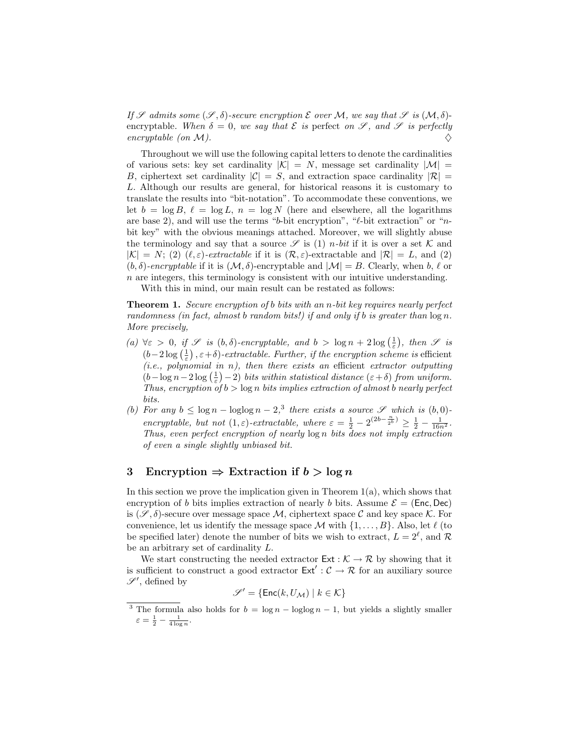If S admits some  $(\mathscr{S}, \delta)$ -secure encryption E over M, we say that S is  $(M, \delta)$ encryptable. When  $\delta = 0$ , we say that  $\mathcal E$  is perfect on  $\mathscr S$ , and  $\mathscr S$  is perfectly encryptable (on M).  $\diamondsuit$ 

Throughout we will use the following capital letters to denote the cardinalities of various sets: key set cardinality  $|K| = N$ , message set cardinality  $|M|$  = B, ciphertext set cardinality  $|\mathcal{C}| = S$ , and extraction space cardinality  $|\mathcal{R}| =$ L. Although our results are general, for historical reasons it is customary to translate the results into "bit-notation". To accommodate these conventions, we let  $b = \log B$ ,  $\ell = \log L$ ,  $n = \log N$  (here and elsewhere, all the logarithms are base 2), and will use the terms "b-bit encryption", " $\ell$ -bit extraction" or "nbit key" with the obvious meanings attached. Moreover, we will slightly abuse the terminology and say that a source  $\mathscr S$  is (1) *n-bit* if it is over a set K and  $|K| = N$ ; (2)  $(\ell, \varepsilon)$ -extractable if it is  $(\mathcal{R}, \varepsilon)$ -extractable and  $|\mathcal{R}| = L$ , and (2)  $(b, \delta)$ -encryptable if it is  $(\mathcal{M}, \delta)$ -encryptable and  $|\mathcal{M}| = B$ . Clearly, when b,  $\ell$  or n are integers, this terminology is consistent with our intuitive understanding.

With this in mind, our main result can be restated as follows:

**Theorem 1.** Secure encryption of b bits with an n-bit key requires nearly perfect randomness (in fact, almost b random bits!) if and only if b is greater than  $\log n$ . More precisely,

- (a)  $\forall \varepsilon > 0$ , if  $\mathscr{S}$  is  $(b, \delta)$ -encryptable, and  $b > \log n + 2 \log \left( \frac{1}{\varepsilon} \right)$ , then  $\mathscr{S}$  is  $(b-2\log(\frac{1}{\varepsilon}), \varepsilon+\delta)$ -extractable. Further, if the encryption scheme is efficient  $(i.e., polynomial in n), then there exists an efficient extractor outputting$  $(b - \log n - 2 \log(\frac{1}{\varepsilon}) - 2)$  bits within statistical distance  $(\varepsilon + \delta)$  from uniform. Thus, encryption of  $b > \log n$  bits implies extraction of almost b nearly perfect bits.
- (b) For any  $b \leq \log n \log \log n 2$ ,<sup>3</sup> there exists a source  $\mathscr{S}$  which is  $(b, 0)$ encryptable, but not  $(1, \varepsilon)$ -extractable, where  $\varepsilon = \frac{1}{2} - 2^{(2b - \frac{n}{2^b})} \geq \frac{1}{2} - \frac{1}{16n^2}$ . Thus, even perfect encryption of nearly log n bits does not imply extraction of even a single slightly unbiased bit.

# 3 Encryption  $\Rightarrow$  Extraction if  $b > \log n$

In this section we prove the implication given in Theorem  $1(a)$ , which shows that encryption of b bits implies extraction of nearly b bits. Assume  $\mathcal{E} = (Enc, Dec)$ is  $(\mathscr{S}, \delta)$ -secure over message space M, ciphertext space  $\mathcal C$  and key space  $\mathcal K$ . For convenience, let us identify the message space M with  $\{1, \ldots, B\}$ . Also, let  $\ell$  (to be specified later) denote the number of bits we wish to extract,  $L = 2^{\ell}$ , and R be an arbitrary set of cardinality L.

We start constructing the needed extractor  $\mathsf{Ext} : \mathcal{K} \to \mathcal{R}$  by showing that it is sufficient to construct a good extractor  $\mathsf{Ext}' : \mathcal{C} \to \mathcal{R}$  for an auxiliary source  $\mathscr{S}'$ , defined by

$$
\mathscr{S}' = \{ \text{Enc}(k, U_{\mathcal{M}}) \mid k \in \mathcal{K} \}
$$

<sup>&</sup>lt;sup>3</sup> The formula also holds for  $b = \log n - \log \log n - 1$ , but yields a slightly smaller  $\varepsilon = \frac{1}{2} - \frac{1}{4 \log n}.$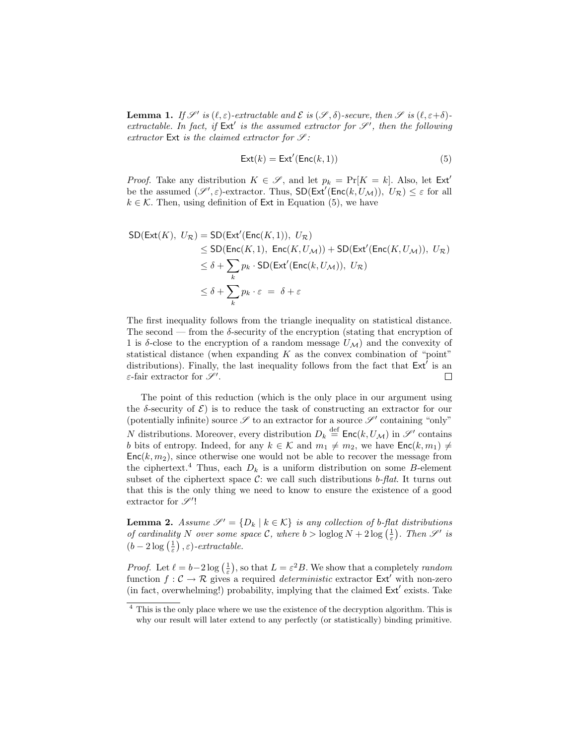**Lemma 1.** If  $\mathscr{S}'$  is  $(\ell, \varepsilon)$ -extractable and  $\mathscr{E}$  is  $(\mathscr{S}, \delta)$ -secure, then  $\mathscr{S}$  is  $(\ell, \varepsilon + \delta)$ extractable. In fact, if  $Ext'$  is the assumed extractor for  $\mathscr{S}'$ , then the following extractor Ext is the claimed extractor for  $\mathscr{S}$ :

$$
Ext(k) = Ext'(Enc(k, 1))
$$
\n(5)

*Proof.* Take any distribution  $K \in \mathscr{S}$ , and let  $p_k = \Pr[K = k]$ . Also, let  $Ext'$ be the assumed  $(\mathscr{S}', \varepsilon)$ -extractor. Thus,  $SD(Ext'(Enc(k, U_M)), U_R) \leq \varepsilon$  for all  $k \in \mathcal{K}$ . Then, using definition of Ext in Equation (5), we have

$$
\begin{aligned} \mathsf{SD}(\mathsf{Ext}(K),\ U_{\mathcal{R}}) &= \mathsf{SD}(\mathsf{Ext}'(\mathsf{Enc}(K,1)),\ U_{\mathcal{R}}) \\ &\leq \mathsf{SD}(\mathsf{Enc}(K,1),\ \mathsf{Enc}(K,U_{\mathcal{M}})) + \mathsf{SD}(\mathsf{Ext}'(\mathsf{Enc}(K,U_{\mathcal{M}})),\ U_{\mathcal{R}}) \\ &\leq \delta + \sum_{k} p_k \cdot \mathsf{SD}(\mathsf{Ext}'(\mathsf{Enc}(k,U_{\mathcal{M}})),\ U_{\mathcal{R}}) \\ &\leq \delta + \sum_{k} p_k \cdot \varepsilon \ = \ \delta + \varepsilon \end{aligned}
$$

The first inequality follows from the triangle inequality on statistical distance. The second — from the  $\delta$ -security of the encryption (stating that encryption of 1 is  $\delta$ -close to the encryption of a random message  $U_{\mathcal{M}}$  and the convexity of statistical distance (when expanding K as the convex combination of "point" distributions). Finally, the last inequality follows from the fact that  $\text{Ext}^7$  is an  $\varepsilon$ -fair extractor for  $\mathscr{S}'$ .  $\Box$ 

The point of this reduction (which is the only place in our argument using the  $\delta$ -security of  $\mathcal{E}$ ) is to reduce the task of constructing an extractor for our (potentially infinite) source  $\mathscr S$  to an extractor for a source  $\mathscr S'$  containing "only" N distributions. Moreover, every distribution  $D_k \stackrel{\text{def}}{=} \text{Enc}(k, U_{\mathcal{M}})$  in  $\mathscr{S}'$  contains b bits of entropy. Indeed, for any  $k \in \mathcal{K}$  and  $m_1 \neq m_2$ , we have  $\text{Enc}(k, m_1) \neq$  $Enc(k, m<sub>2</sub>)$ , since otherwise one would not be able to recover the message from the ciphertext.<sup>4</sup> Thus, each  $D_k$  is a uniform distribution on some B-element subset of the ciphertext space  $\mathcal{C}$ : we call such distributions *b*-flat. It turns out that this is the only thing we need to know to ensure the existence of a good extractor for  $\mathscr{S}^{\prime}!$ 

**Lemma 2.** Assume  $\mathscr{S}' = \{D_k \mid k \in \mathcal{K}\}\$ is any collection of b-flat distributions of cardinality N over some space C, where  $b > \log \log N + 2 \log \left(\frac{1}{\varepsilon}\right)$ . Then  $\mathscr{S}'$  is  $(b-2\log(\frac{1}{\varepsilon}), \varepsilon)$ -extractable.

*Proof.* Let  $\ell = b-2\log\left(\frac{1}{\varepsilon}\right)$ , so that  $L = \varepsilon^2 B$ . We show that a completely *random* function  $f: \mathcal{C} \to \mathcal{R}$  gives a required *deterministic* extractor  $Ext'$  with non-zero (in fact, overwhelming!) probability, implying that the claimed  $Ext'$  exists. Take

<sup>4</sup> This is the only place where we use the existence of the decryption algorithm. This is why our result will later extend to any perfectly (or statistically) binding primitive.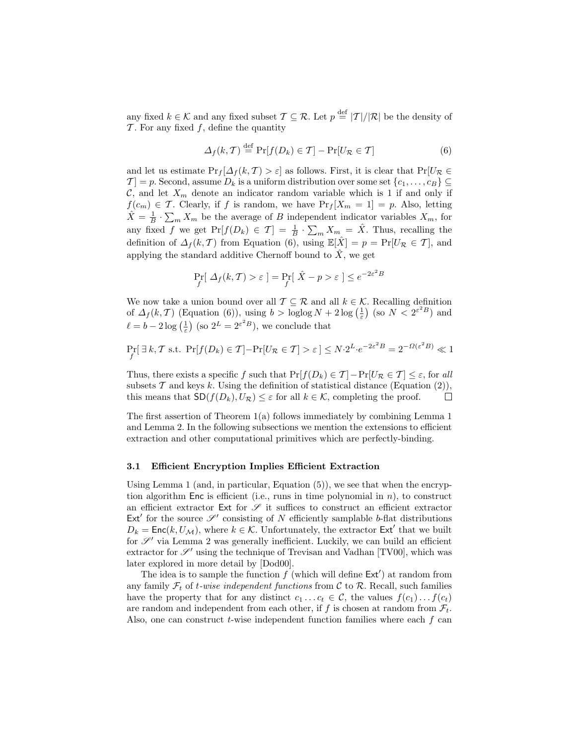any fixed  $k \in \mathcal{K}$  and any fixed subset  $\mathcal{T} \subseteq \mathcal{R}$ . Let  $p \stackrel{\text{def}}{=} |\mathcal{T}|/|\mathcal{R}|$  be the density of  $\mathcal T$ . For any fixed  $f$ , define the quantity

$$
\Delta_f(k,\mathcal{T}) \stackrel{\text{def}}{=} \Pr[f(D_k) \in \mathcal{T}] - \Pr[U_{\mathcal{R}} \in \mathcal{T}] \tag{6}
$$

and let us estimate  $Pr_f[\Delta_f(k, T) > \varepsilon]$  as follows. First, it is clear that  $Pr[U_{\mathcal{R}} \in$  $\mathcal{T} = p$ . Second, assume  $D_k$  is a uniform distribution over some set  $\{c_1, \ldots, c_B\} \subseteq$ C, and let  $X_m$  denote an indicator random variable which is 1 if and only if  $f(c_m) \in \mathcal{T}$ . Clearly, if f is random, we have  $\Pr_f[X_m = 1] = p$ . Also, letting  $\hat{X} = \frac{1}{B} \cdot \sum_{m} X_m$  be the average of B independent indicator variables  $X_m$ , for any fixed f we get  $Pr[f(D_k) \in \mathcal{T}] = \frac{1}{B} \cdot \sum_m X_m = \hat{X}$ . Thus, recalling the definition of  $\Delta_f(k, \mathcal{T})$  from Equation (6), using  $\mathbb{E}[\hat{X}] = p = \Pr[U_{\mathcal{R}} \in \mathcal{T}]$ , and applying the standard additive Chernoff bound to  $\hat{X}$ , we get

$$
\Pr_f[\Delta_f(k, T) > \varepsilon] = \Pr_f[\hat{X} - p > \varepsilon] \le e^{-2\varepsilon^2 B}
$$

We now take a union bound over all  $\mathcal{T} \subseteq \mathcal{R}$  and all  $k \in \mathcal{K}$ . Recalling definition of  $\Delta_f(k, \mathcal{T})$  (Equation (6)), using  $b > \log \log N + 2 \log \left(\frac{1}{\varepsilon}\right)$  (so  $N < 2^{\varepsilon^2 B}$ ) and  $\ell = b - 2 \log \left( \frac{1}{\varepsilon} \right)$  (so  $2^L = 2^{\varepsilon^2 B}$ ), we conclude that

$$
\Pr_f[\exists k, \mathcal{T} \text{ s.t. } \Pr[f(D_k) \in \mathcal{T}] - \Pr[U_{\mathcal{R}} \in \mathcal{T}] > \varepsilon] \le N \cdot 2^L \cdot e^{-2\varepsilon^2 B} = 2^{-\Omega(\varepsilon^2 B)} \ll 1
$$

Thus, there exists a specific f such that  $Pr[f(D_k) \in T] - Pr[U_{\mathcal{R}} \in T] \leq \varepsilon$ , for all subsets  $\mathcal T$  and keys k. Using the definition of statistical distance (Equation (2)), this means that  $SD(f(D_k), U_{\mathcal{R}}) \leq \varepsilon$  for all  $k \in \mathcal{K}$ , completing the proof.  $\Box$ 

The first assertion of Theorem 1(a) follows immediately by combining Lemma 1 and Lemma 2. In the following subsections we mention the extensions to efficient extraction and other computational primitives which are perfectly-binding.

#### 3.1 Efficient Encryption Implies Efficient Extraction

Using Lemma 1 (and, in particular, Equation (5)), we see that when the encryption algorithm  $Enc$  is efficient (i.e., runs in time polynomial in  $n$ ), to construct an efficient extractor Ext for  $\mathscr S$  it suffices to construct an efficient extractor Ext' for the source  $\mathscr{S}'$  consisting of N efficiently samplable b-flat distributions  $D_k = \text{Enc}(k, U_\mathcal{M})$ , where  $k \in \mathcal{K}$ . Unfortunately, the extractor  $\text{Ext}'$  that we built for  $\mathscr{S}'$  via Lemma 2 was generally inefficient. Luckily, we can build an efficient extractor for  $\mathscr{S}'$  using the technique of Trevisan and Vadhan [TV00], which was later explored in more detail by [Dod00].

The idea is to sample the function  $f$  (which will define  $Ext'$ ) at random from any family  $\mathcal{F}_t$  of t-wise independent functions from C to R. Recall, such families have the property that for any distinct  $c_1 \ldots c_t \in \mathcal{C}$ , the values  $f(c_1) \ldots f(c_t)$ are random and independent from each other, if f is chosen at random from  $\mathcal{F}_t$ . Also, one can construct  $t$ -wise independent function families where each  $f$  can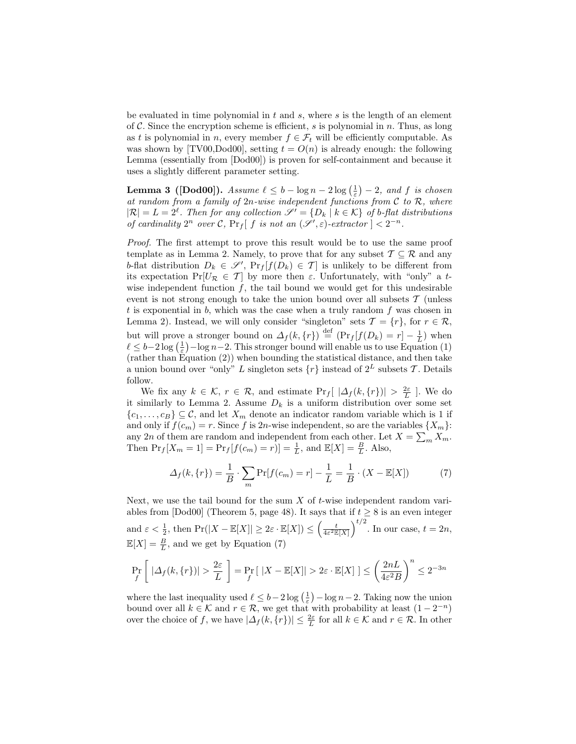be evaluated in time polynomial in  $t$  and  $s$ , where  $s$  is the length of an element of C. Since the encryption scheme is efficient, s is polynomial in n. Thus, as long as t is polynomial in n, every member  $f \in \mathcal{F}_t$  will be efficiently computable. As was shown by [TV00,Dod00], setting  $t = O(n)$  is already enough: the following Lemma (essentially from [Dod00]) is proven for self-containment and because it uses a slightly different parameter setting.

**Lemma 3** ([Dod00]). Assume  $\ell \leq b - \log n - 2 \log \left( \frac{1}{\varepsilon} \right) - 2$ , and f is chosen at random from a family of  $2n$ -wise independent functions from  $C$  to  $R$ , where  $|\mathcal{R}| = L = 2^{\ell}$ . Then for any collection  $\mathscr{S}' = \{D_k | k \in \mathcal{K}\}$  of b-flat distributions of cardinality  $2^n$  over  $\mathcal{C}$ ,  $\Pr_f[f \text{ is not an } (\mathscr{S}', \varepsilon)$ -extractor  $] < 2^{-n}$ .

Proof. The first attempt to prove this result would be to use the same proof template as in Lemma 2. Namely, to prove that for any subset  $\mathcal{T} \subseteq \mathcal{R}$  and any b-flat distribution  $D_k \in \mathscr{S}'$ ,  $\Pr_f[f(D_k) \in \mathcal{T}]$  is unlikely to be different from its expectation  $Pr[U_{\mathcal{R}} \in \mathcal{T}]$  by more then  $\varepsilon$ . Unfortunately, with "only" a twise independent function  $f$ , the tail bound we would get for this undesirable event is not strong enough to take the union bound over all subsets  $\mathcal T$  (unless t is exponential in  $b$ , which was the case when a truly random  $f$  was chosen in Lemma 2). Instead, we will only consider "singleton" sets  $\mathcal{T} = \{r\}$ , for  $r \in \mathcal{R}$ , but will prove a stronger bound on  $\Delta_f(k, \{r\}) \stackrel{\text{def}}{=} (\Pr_f[f(D_k) = r] - \frac{1}{L})$  when  $\ell \leq b-2\log\left(\frac{1}{\epsilon}\right)-\log n-2$ . This stronger bound will enable us to use Equation (1) (rather than Equation (2)) when bounding the statistical distance, and then take a union bound over "only" L singleton sets  $\{r\}$  instead of  $2^L$  subsets T. Details follow.

We fix any  $k \in \mathcal{K}$ ,  $r \in \mathcal{R}$ , and estimate  $\Pr_f[|\Delta_f(k, \{r\})| > \frac{2\varepsilon}{L}]$ . We do it similarly to Lemma 2. Assume  $D_k$  is a uniform distribution over some set  ${c_1, \ldots, c_B} \subseteq \mathcal{C}$ , and let  $X_m$  denote an indicator random variable which is 1 if and only if  $f(c_m) = r$ . Since f is 2*n*-wise independent, so are the variables  $\{X_m\}$ : any 2n of them are random and independent from each other. Let  $X = \sum_m X_m$ . Then  $\Pr_f[X_m = 1] = \Pr_f[f(c_m) = r] = \frac{1}{L}$ , and  $\mathbb{E}[X] = \frac{B}{L}$ . Also,

$$
\Delta_f(k, \{r\}) = \frac{1}{B} \cdot \sum_{m} \Pr[f(c_m) = r] - \frac{1}{L} = \frac{1}{B} \cdot (X - \mathbb{E}[X]) \tag{7}
$$

Next, we use the tail bound for the sum  $X$  of  $t$ -wise independent random variables from [Dod00] (Theorem 5, page 48). It says that if  $t \geq 8$  is an even integer and  $\varepsilon < \frac{1}{2}$ , then  $Pr(|X - \mathbb{E}[X]| \geq 2\varepsilon \cdot \mathbb{E}[X]) \leq \left(\frac{t}{4\varepsilon^2 \mathbb{E}[X]}\right)^{t/2}$ . In our case,  $t = 2n$ ,  $\mathbb{E}[X] = \frac{B}{L}$ , and we get by Equation (7)

$$
\Pr_f\left[|\Delta_f(k,\{r\})| > \frac{2\varepsilon}{L}\right] = \Pr_f[|X - \mathbb{E}[X]| > 2\varepsilon \cdot \mathbb{E}[X]| \le \left(\frac{2nL}{4\varepsilon^2 B}\right)^n \le 2^{-3n}
$$

where the last inequality used  $\ell \leq b-2\log\left(\frac{1}{\varepsilon}\right)-\log n-2$ . Taking now the union bound over all  $k \in \mathcal{K}$  and  $r \in \mathcal{R}$ , we get that with probability at least  $(1 - 2^{-n})$ over the choice of f, we have  $|\Delta_f(k, \{r\})| \leq \frac{2\varepsilon}{L}$  for all  $k \in \mathcal{K}$  and  $r \in \mathcal{R}$ . In other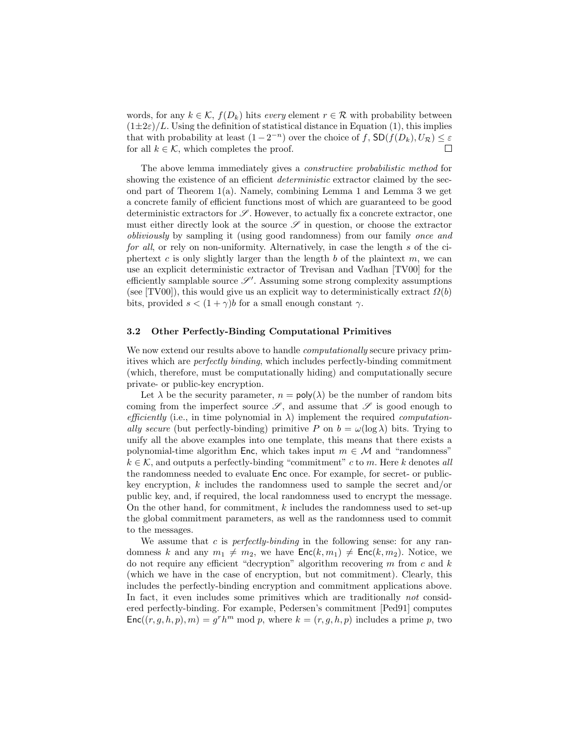words, for any  $k \in \mathcal{K}$ ,  $f(D_k)$  hits every element  $r \in \mathcal{R}$  with probability between  $(1\pm 2\varepsilon)/L$ . Using the definition of statistical distance in Equation (1), this implies that with probability at least  $(1-2^{-n})$  over the choice of f,  $SD(f(D_k), U_{\mathcal{R}}) \leq \varepsilon$ for all  $k \in \mathcal{K}$ , which completes the proof.  $\Box$ 

The above lemma immediately gives a constructive probabilistic method for showing the existence of an efficient *deterministic* extractor claimed by the second part of Theorem  $1(a)$ . Namely, combining Lemma 1 and Lemma 3 we get a concrete family of efficient functions most of which are guaranteed to be good deterministic extractors for  $\mathscr{S}$ . However, to actually fix a concrete extractor, one must either directly look at the source  $\mathscr S$  in question, or choose the extractor obliviously by sampling it (using good randomness) from our family once and for all, or rely on non-uniformity. Alternatively, in case the length s of the ciphertext c is only slightly larger than the length  $b$  of the plaintext  $m$ , we can use an explicit deterministic extractor of Trevisan and Vadhan [TV00] for the efficiently samplable source  $\mathscr{S}'$ . Assuming some strong complexity assumptions (see [TV00]), this would give us an explicit way to deterministically extract  $\Omega(b)$ bits, provided  $s < (1 + \gamma)b$  for a small enough constant  $\gamma$ .

#### 3.2 Other Perfectly-Binding Computational Primitives

We now extend our results above to handle *computationally* secure privacy primitives which are perfectly binding, which includes perfectly-binding commitment (which, therefore, must be computationally hiding) and computationally secure private- or public-key encryption.

Let  $\lambda$  be the security parameter,  $n = \text{poly}(\lambda)$  be the number of random bits coming from the imperfect source  $\mathscr{S}$ , and assume that  $\mathscr{S}$  is good enough to efficiently (i.e., in time polynomial in  $\lambda$ ) implement the required *computation*ally secure (but perfectly-binding) primitive P on  $b = \omega(\log \lambda)$  bits. Trying to unify all the above examples into one template, this means that there exists a polynomial-time algorithm Enc, which takes input  $m \in \mathcal{M}$  and "randomness"  $k \in \mathcal{K}$ , and outputs a perfectly-binding "commitment" c to m. Here k denotes all the randomness needed to evaluate Enc once. For example, for secret- or publickey encryption,  $k$  includes the randomness used to sample the secret and/or public key, and, if required, the local randomness used to encrypt the message. On the other hand, for commitment,  $k$  includes the randomness used to set-up the global commitment parameters, as well as the randomness used to commit to the messages.

We assume that c is *perfectly-binding* in the following sense: for any randomness k and any  $m_1 \neq m_2$ , we have  $\text{Enc}(k, m_1) \neq \text{Enc}(k, m_2)$ . Notice, we do not require any efficient "decryption" algorithm recovering  $m$  from  $c$  and  $k$ (which we have in the case of encryption, but not commitment). Clearly, this includes the perfectly-binding encryption and commitment applications above. In fact, it even includes some primitives which are traditionally not considered perfectly-binding. For example, Pedersen's commitment [Ped91] computes  $Enc((r, g, h, p), m) = g<sup>r</sup> h<sup>m</sup>$  mod p, where  $k = (r, g, h, p)$  includes a prime p, two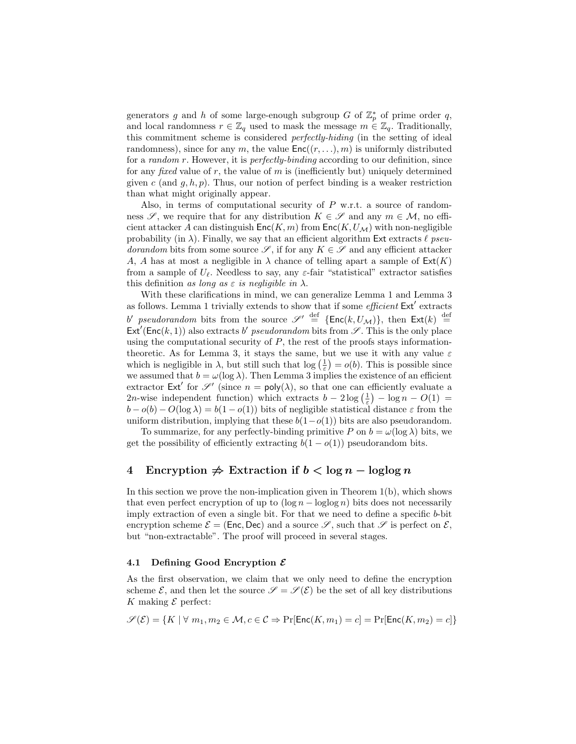generators g and h of some large-enough subgroup G of  $\mathbb{Z}_p^*$  of prime order q, and local randomness  $r \in \mathbb{Z}_q$  used to mask the message  $m \in \mathbb{Z}_q$ . Traditionally, this commitment scheme is considered perfectly-hiding (in the setting of ideal randomness), since for any m, the value  $Enc((r, \ldots), m)$  is uniformly distributed for a *random r*. However, it is *perfectly-binding* according to our definition, since for any fixed value of  $r$ , the value of  $m$  is (inefficiently but) uniquely determined given c (and  $g, h, p$ ). Thus, our notion of perfect binding is a weaker restriction than what might originally appear.

Also, in terms of computational security of  $P$  w.r.t. a source of randomness  $\mathscr{S}$ , we require that for any distribution  $K \in \mathscr{S}$  and any  $m \in \mathcal{M}$ , no efficient attacker A can distinguish  $Enc(K, m)$  from  $Enc(K, U_M)$  with non-negligible probability (in  $\lambda$ ). Finally, we say that an efficient algorithm Ext extracts  $\ell$  pseu*dorandom* bits from some source  $\mathscr{S}$ , if for any  $K \in \mathscr{S}$  and any efficient attacker A, A has at most a negligible in  $\lambda$  chance of telling apart a sample of  $\text{Ext}(K)$ from a sample of  $U_{\ell}$ . Needless to say, any  $\varepsilon$ -fair "statistical" extractor satisfies this definition as long as  $\varepsilon$  is negligible in  $\lambda$ .

With these clarifications in mind, we can generalize Lemma 1 and Lemma 3 as follows. Lemma 1 trivially extends to show that if some *efficient* Ext' extracts b' pseudorandom bits from the source  $\mathscr{S}' \stackrel{\text{def}}{=} {\text{Enc}(k, U_{\mathcal{M}})}$ , then  $\text{Ext}(k) \stackrel{\text{def}}{=}$  $\textsf{Ext}'(\textsf{Enc}(k,1))$  also extracts b' pseudorandom bits from  $\mathscr{S}$ . This is the only place using the computational security of  $P$ , the rest of the proofs stays informationtheoretic. As for Lemma 3, it stays the same, but we use it with any value  $\varepsilon$ which is negligible in  $\lambda$ , but still such that  $\log\left(\frac{1}{\varepsilon}\right) = o(b)$ . This is possible since we assumed that  $b = \omega(\log \lambda)$ . Then Lemma 3 implies the existence of an efficient extractor Ext' for  $\mathscr{S}'$  (since  $n = \text{poly}(\lambda)$ , so that one can efficiently evaluate a 2*n*-wise independent function) which extracts  $b - 2 \log \left( \frac{1}{\varepsilon} \right) - \log n - O(1) =$  $b - o(b) - O(\log \lambda) = b(1 - o(1))$  bits of negligible statistical distance  $\varepsilon$  from the uniform distribution, implying that these  $b(1-o(1))$  bits are also pseudorandom.

To summarize, for any perfectly-binding primitive P on  $b = \omega(\log \lambda)$  bits, we get the possibility of efficiently extracting  $b(1 - o(1))$  pseudorandom bits.

# 4 Encryption  $\neq$  Extraction if  $b < \log n - \log \log n$

In this section we prove the non-implication given in Theorem  $1(b)$ , which shows that even perfect encryption of up to  $(\log n - \log \log n)$  bits does not necessarily imply extraction of even a single bit. For that we need to define a specific b-bit encryption scheme  $\mathcal{E} = (Enc, Dec)$  and a source  $\mathcal{S}$ , such that  $\mathcal{S}$  is perfect on  $\mathcal{E}$ , but "non-extractable". The proof will proceed in several stages.

#### 4.1 Defining Good Encryption  $\mathcal E$

As the first observation, we claim that we only need to define the encryption scheme  $\mathcal{E}$ , and then let the source  $\mathcal{S} = \mathcal{S}(\mathcal{E})$  be the set of all key distributions K making  $\mathcal E$  perfect:

$$
\mathcal{S}(\mathcal{E}) = \{ K \mid \forall m_1, m_2 \in \mathcal{M}, c \in \mathcal{C} \Rightarrow \Pr[\mathsf{Enc}(K, m_1) = c] = \Pr[\mathsf{Enc}(K, m_2) = c] \}
$$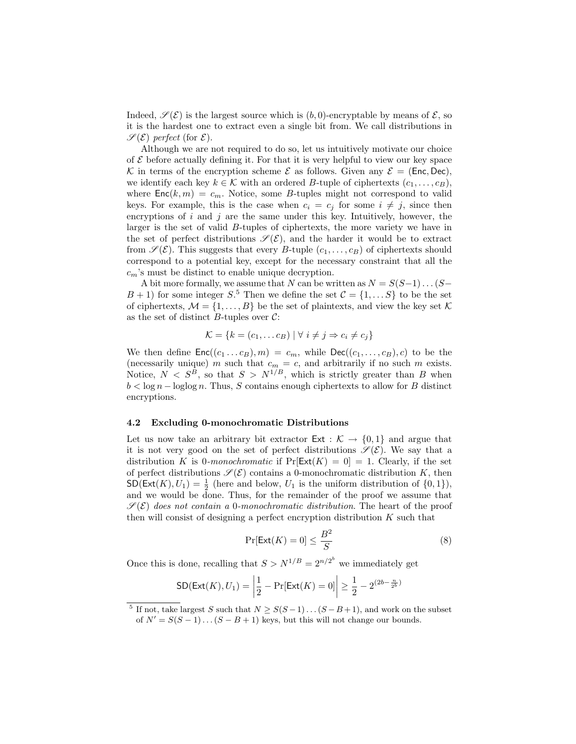Indeed,  $\mathscr{S}(\mathcal{E})$  is the largest source which is  $(b, 0)$ -encryptable by means of  $\mathcal{E}$ , so it is the hardest one to extract even a single bit from. We call distributions in  $\mathscr{S}(\mathcal{E})$  perfect (for  $\mathcal{E}$ ).

Although we are not required to do so, let us intuitively motivate our choice of  $\mathcal E$  before actually defining it. For that it is very helpful to view our key space K in terms of the encryption scheme  $\mathcal E$  as follows. Given any  $\mathcal E = (Enc, Dec)$ , we identify each key  $k \in \mathcal{K}$  with an ordered B-tuple of ciphertexts  $(c_1, \ldots, c_B)$ , where  $Enc(k, m) = c_m$ . Notice, some B-tuples might not correspond to valid keys. For example, this is the case when  $c_i = c_j$  for some  $i \neq j$ , since then encryptions of  $i$  and  $j$  are the same under this key. Intuitively, however, the larger is the set of valid B-tuples of ciphertexts, the more variety we have in the set of perfect distributions  $\mathscr{S}(\mathcal{E})$ , and the harder it would be to extract from  $\mathscr{S}(\mathcal{E})$ . This suggests that every B-tuple  $(c_1, \ldots, c_B)$  of ciphertexts should correspond to a potential key, except for the necessary constraint that all the  $c_m$ 's must be distinct to enable unique decryption.

A bit more formally, we assume that N can be written as  $N = S(S-1)...(S-1)$  $B + 1$ ) for some integer  $S^5$ . Then we define the set  $\mathcal{C} = \{1, \ldots S\}$  to be the set of ciphertexts,  $\mathcal{M} = \{1, \ldots, B\}$  be the set of plaintexts, and view the key set K as the set of distinct B-tuples over  $\mathcal{C}$ :

$$
\mathcal{K} = \{k = (c_1, \dots c_B) \mid \forall i \neq j \Rightarrow c_i \neq c_j\}
$$

We then define  $\textsf{Enc}((c_1 \ldots c_B), m) = c_m$ , while  $\textsf{Dec}((c_1, \ldots, c_B), c)$  to be the (necessarily unique) m such that  $c_m = c$ , and arbitrarily if no such m exists. Notice,  $N < B^B$ , so that  $S > N^{1/B}$ , which is strictly greater than B when  $b < \log n - \log \log n$ . Thus, S contains enough ciphertexts to allow for B distinct encryptions.

#### 4.2 Excluding 0-monochromatic Distributions

Let us now take an arbitrary bit extractor  $Ext : \mathcal{K} \to \{0,1\}$  and argue that it is not very good on the set of perfect distributions  $\mathscr{S}(\mathcal{E})$ . We say that a distribution K is 0-monochromatic if  $Pr[Ext(K) = 0] = 1$ . Clearly, if the set of perfect distributions  $\mathscr{S}(\mathcal{E})$  contains a 0-monochromatic distribution K, then  $SD(Ext(K), U_1) = \frac{1}{2}$  (here and below,  $U_1$  is the uniform distribution of  $\{0, 1\}$ ), and we would be done. Thus, for the remainder of the proof we assume that  $\mathscr{S}(\mathcal{E})$  does not contain a 0-monochromatic distribution. The heart of the proof then will consist of designing a perfect encryption distribution  $K$  such that

$$
\Pr[\text{Ext}(K) = 0] \le \frac{B^2}{S} \tag{8}
$$

Once this is done, recalling that  $S > N^{1/B} = 2^{n/2^b}$  we immediately get

$$
SD(Ext(K), U_1) = \left| \frac{1}{2} - Pr[Ext(K) = 0] \right| \ge \frac{1}{2} - 2^{(2b - \frac{n}{2^b})}
$$

<sup>&</sup>lt;sup>5</sup> If not, take largest S such that  $N \geq S(S-1) \dots (S-B+1)$ , and work on the subset of  $N' = S(S-1)...(S-B+1)$  keys, but this will not change our bounds.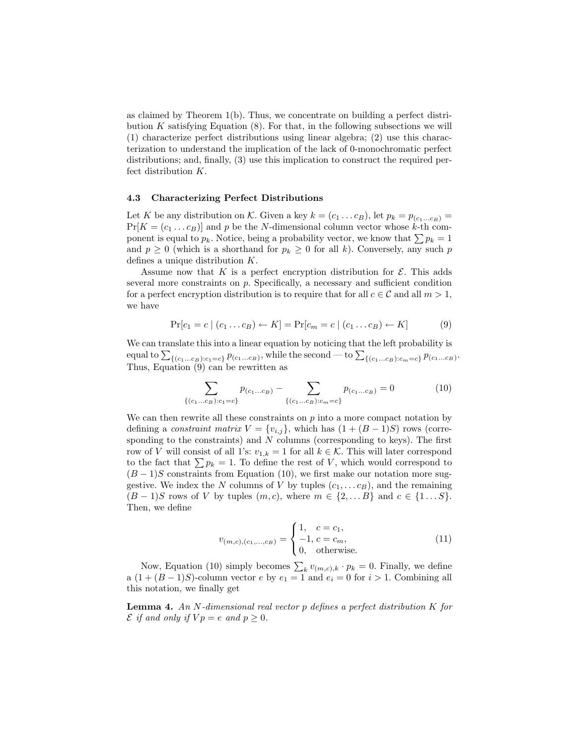as claimed by Theorem 1(b). Thus, we concentrate on building a perfect distribution  $K$  satisfying Equation  $(8)$ . For that, in the following subsections we will (1) characterize perfect distributions using linear algebra; (2) use this characterization to understand the implication of the lack of 0-monochromatic perfect distributions; and, finally, (3) use this implication to construct the required perfect distribution K.

#### 4.3 Characterizing Perfect Distributions

Let K be any distribution on K. Given a key  $k = (c_1 \dots c_B)$ , let  $p_k = p_{(c_1...c_B)} =$  $Pr[K = (c_1 \dots c_B)]$  and p be the N-dimensional column vector whose k-th component is equal to  $p_k$ . Notice, being a probability vector, we know that  $\sum p_k = 1$ and  $p \geq 0$  (which is a shorthand for  $p_k \geq 0$  for all k). Conversely, any such p defines a unique distribution K.

Assume now that K is a perfect encryption distribution for  $\mathcal{E}$ . This adds several more constraints on  $p$ . Specifically, a necessary and sufficient condition for a perfect encryption distribution is to require that for all  $c \in \mathcal{C}$  and all  $m > 1$ , we have

$$
Pr[c_1 = c | (c_1 ... c_B) \leftarrow K] = Pr[c_m = c | (c_1 ... c_B) \leftarrow K]
$$
 (9)

We can translate this into a linear equation by noticing that the left probability is equal to  $\sum_{\{(c_1...c_B):c_1=c\}} p_{(c_1...c_B)}$ , while the second — to  $\sum_{\{(c_1...c_B):c_m=c\}} p_{(c_1...c_B)}$ . Thus, Equation (9) can be rewritten as

$$
\sum_{\{(c_1...c_B):c_1=c\}} p_{(c_1...c_B)} - \sum_{\{(c_1...c_B):c_m=c\}} p_{(c_1...c_B)} = 0 \tag{10}
$$

We can then rewrite all these constraints on  $p$  into a more compact notation by defining a *constraint matrix*  $V = \{v_{i,j}\}\$ , which has  $(1 + (B-1)S)$  rows (corresponding to the constraints) and  $N$  columns (corresponding to keys). The first row of V will consist of all 1's:  $v_{1,k} = 1$  for all  $k \in \mathcal{K}$ . This will later correspond to the fact that  $\sum p_k = 1$ . To define the rest of V, which would correspond to  $(B-1)S$  constraints from Equation (10), we first make our notation more suggestive. We index the N columns of V by tuples  $(c_1, \ldots c_B)$ , and the remaining  $(B-1)S$  rows of V by tuples  $(m, c)$ , where  $m \in \{2, \ldots B\}$  and  $c \in \{1 \ldots S\}$ . Then, we define

$$
v_{(m,c),(c_1,...,c_B)} = \begin{cases} 1, & c = c_1, \\ -1, & c = c_m, \\ 0, & \text{otherwise.} \end{cases}
$$
 (11)

Now, Equation (10) simply becomes  $\sum_k v_{(m,c),k} \cdot p_k = 0$ . Finally, we define a  $(1 + (B - 1)S)$ -column vector e by  $e_1 = 1$  and  $e_i = 0$  for  $i > 1$ . Combining all this notation, we finally get

**Lemma 4.** An N-dimensional real vector p defines a perfect distribution  $K$  for  $\mathcal E$  if and only if  $V p = e$  and  $p \geq 0$ .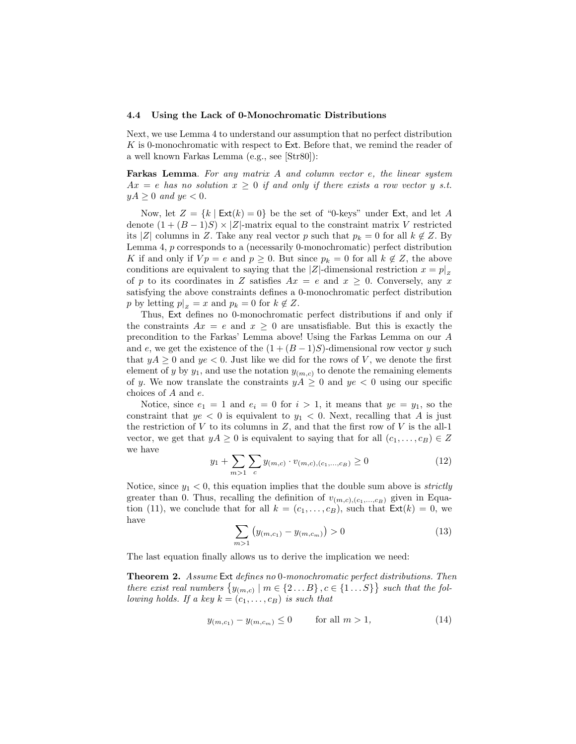#### 4.4 Using the Lack of 0-Monochromatic Distributions

Next, we use Lemma 4 to understand our assumption that no perfect distribution K is 0-monochromatic with respect to Ext. Before that, we remind the reader of a well known Farkas Lemma (e.g., see [Str80]):

Farkas Lemma. For any matrix A and column vector e, the linear system  $Ax = e$  has no solution  $x \geq 0$  if and only if there exists a row vector y s.t.  $yA \geq 0$  and  $ye < 0$ .

Now, let  $Z = \{k | \text{Ext}(k) = 0\}$  be the set of "0-keys" under Ext, and let A denote  $(1 + (B - 1)S) \times |Z|$ -matrix equal to the constraint matrix V restricted its |Z| columns in Z. Take any real vector p such that  $p_k = 0$  for all  $k \notin \mathbb{Z}$ . By Lemma 4, p corresponds to a (necessarily 0-monochromatic) perfect distribution K if and only if  $V p = e$  and  $p \ge 0$ . But since  $p_k = 0$  for all  $k \notin \mathbb{Z}$ , the above conditions are equivalent to saying that the |Z|-dimensional restriction  $x = p|_x$ of p to its coordinates in Z satisfies  $Ax = e$  and  $x \ge 0$ . Conversely, any x satisfying the above constraints defines a 0-monochromatic perfect distribution p by letting  $p|_Z = x$  and  $p_k = 0$  for  $k \notin Z$ .

Thus, Ext defines no 0-monochromatic perfect distributions if and only if the constraints  $Ax = e$  and  $x \geq 0$  are unsatisfiable. But this is exactly the precondition to the Farkas' Lemma above! Using the Farkas Lemma on our A and e, we get the existence of the  $(1 + (B - 1)S)$ -dimensional row vector y such that  $yA \geq 0$  and  $ye < 0$ . Just like we did for the rows of V, we denote the first element of y by  $y_1$ , and use the notation  $y_{(m,c)}$  to denote the remaining elements of y. We now translate the constraints  $yA \geq 0$  and  $ye < 0$  using our specific choices of A and e.

Notice, since  $e_1 = 1$  and  $e_i = 0$  for  $i > 1$ , it means that  $ye = y_1$ , so the constraint that  $ye < 0$  is equivalent to  $y_1 < 0$ . Next, recalling that A is just the restriction of  $V$  to its columns in  $Z$ , and that the first row of  $V$  is the all-1 vector, we get that  $yA \geq 0$  is equivalent to saying that for all  $(c_1, \ldots, c_B) \in Z$ we have

$$
y_1 + \sum_{m>1} \sum_c y_{(m,c)} \cdot v_{(m,c),(c_1,\ldots,c_B)} \ge 0
$$
 (12)

Notice, since  $y_1 < 0$ , this equation implies that the double sum above is *strictly* greater than 0. Thus, recalling the definition of  $v_{(m,c),(c_1,...,c_B)}$  given in Equation (11), we conclude that for all  $k = (c_1, \ldots, c_B)$ , such that  $\text{Ext}(k) = 0$ , we have

$$
\sum_{m>1} \left( y_{(m,c_1)} - y_{(m,c_m)} \right) > 0 \tag{13}
$$

The last equation finally allows us to derive the implication we need:

Theorem 2. Assume Ext defines no 0-monochromatic perfect distributions. Then there exist real numbers  $\{y_{(m,c)} | m \in \{2...B\}, c \in \{1...S\}\}\)$  such that the following holds. If a key  $k = (c_1, \ldots, c_B)$  is such that

$$
y_{(m,c_1)} - y_{(m,c_m)} \le 0
$$
 for all  $m > 1$ , (14)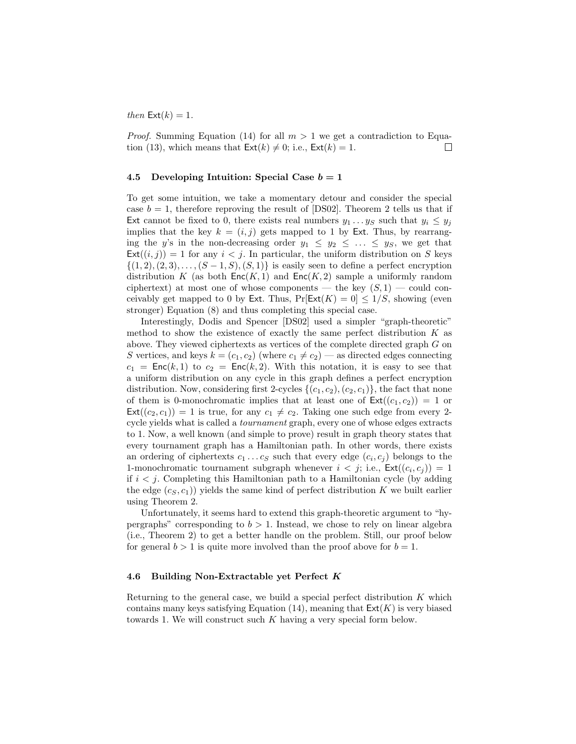then  $\text{Ext}(k) = 1$ .

*Proof.* Summing Equation (14) for all  $m > 1$  we get a contradiction to Equation (13), which means that  $\text{Ext}(k) \neq 0$ ; i.e.,  $\text{Ext}(k) = 1$ .  $\Box$ 

#### 4.5 Developing Intuition: Special Case  $b = 1$

To get some intuition, we take a momentary detour and consider the special case  $b = 1$ , therefore reproving the result of [DS02]. Theorem 2 tells us that if Ext cannot be fixed to 0, there exists real numbers  $y_1 \t ... y_S$  such that  $y_i \leq y_j$ implies that the key  $k = (i, j)$  gets mapped to 1 by Ext. Thus, by rearranging the y's in the non-decreasing order  $y_1 \le y_2 \le \ldots \le y_S$ , we get that  $\text{Ext}((i, j)) = 1$  for any  $i < j$ . In particular, the uniform distribution on S keys  $\{(1, 2), (2, 3), \ldots, (S-1, S), (S, 1)\}\$ is easily seen to define a perfect encryption distribution K (as both  $Enc(K, 1)$  and  $Enc(K, 2)$  sample a uniformly random ciphertext) at most one of whose components — the key  $(S, 1)$  — could conceivably get mapped to 0 by Ext. Thus,  $Pr[Ext(K) = 0] \le 1/S$ , showing (even stronger) Equation (8) and thus completing this special case.

Interestingly, Dodis and Spencer [DS02] used a simpler "graph-theoretic" method to show the existence of exactly the same perfect distribution  $K$  as above. They viewed ciphertexts as vertices of the complete directed graph G on S vertices, and keys  $k = (c_1, c_2)$  (where  $c_1 \neq c_2$ ) — as directed edges connecting  $c_1 = \text{Enc}(k, 1)$  to  $c_2 = \text{Enc}(k, 2)$ . With this notation, it is easy to see that a uniform distribution on any cycle in this graph defines a perfect encryption distribution. Now, considering first 2-cycles  $\{(c_1, c_2), (c_2, c_1)\}\)$ , the fact that none of them is 0-monochromatic implies that at least one of  $\text{Ext}((c_1, c_2)) = 1$  or  $\text{Ext}((c_2, c_1)) = 1$  is true, for any  $c_1 \neq c_2$ . Taking one such edge from every 2cycle yields what is called a tournament graph, every one of whose edges extracts to 1. Now, a well known (and simple to prove) result in graph theory states that every tournament graph has a Hamiltonian path. In other words, there exists an ordering of ciphertexts  $c_1 \dots c_S$  such that every edge  $(c_i, c_j)$  belongs to the 1-monochromatic tournament subgraph whenever  $i < j$ ; i.e.,  $\text{Ext}((c_i, c_j)) = 1$ if  $i < j$ . Completing this Hamiltonian path to a Hamiltonian cycle (by adding the edge  $(c_S, c_1)$  yields the same kind of perfect distribution K we built earlier using Theorem 2.

Unfortunately, it seems hard to extend this graph-theoretic argument to "hypergraphs" corresponding to  $b > 1$ . Instead, we chose to rely on linear algebra (i.e., Theorem 2) to get a better handle on the problem. Still, our proof below for general  $b > 1$  is quite more involved than the proof above for  $b = 1$ .

#### 4.6 Building Non-Extractable yet Perfect K

Returning to the general case, we build a special perfect distribution K which contains many keys satisfying Equation  $(14)$ , meaning that  $\text{Ext}(K)$  is very biased towards 1. We will construct such K having a very special form below.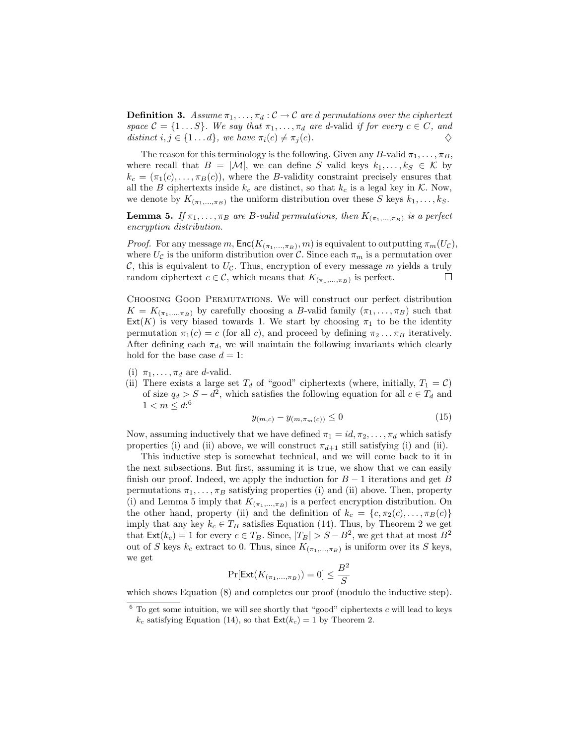**Definition 3.** Assume  $\pi_1, \ldots, \pi_d : \mathcal{C} \to \mathcal{C}$  are d permutations over the ciphertext space  $C = \{1...S\}$ . We say that  $\pi_1, \ldots, \pi_d$  are d-valid if for every  $c \in C$ , and distinct  $i, j \in \{1 \dots d\}$ , we have  $\pi_i(c) \neq \pi_j(c)$ .

The reason for this terminology is the following. Given any B-valid  $\pi_1, \ldots, \pi_B$ , where recall that  $B = |\mathcal{M}|$ , we can define S valid keys  $k_1, \ldots, k_S \in \mathcal{K}$  by  $k_c = (\pi_1(c), \ldots, \pi_B(c))$ , where the B-validity constraint precisely ensures that all the B ciphertexts inside  $k_c$  are distinct, so that  $k_c$  is a legal key in K. Now, we denote by  $K_{(\pi_1,\ldots,\pi_B)}$  the uniform distribution over these S keys  $k_1,\ldots,k_S$ .

**Lemma 5.** If  $\pi_1, \ldots, \pi_B$  are B-valid permutations, then  $K_{(\pi_1, \ldots, \pi_B)}$  is a perfect encryption distribution.

*Proof.* For any message m,  $Enc(K_{(\pi_1,...,\pi_B)}, m)$  is equivalent to outputting  $\pi_m(U_{\mathcal{C}})$ , where  $U_{\mathcal{C}}$  is the uniform distribution over  $\mathcal{C}$ . Since each  $\pi_m$  is a permutation over C, this is equivalent to  $U_{\mathcal{C}}$ . Thus, encryption of every message m yields a truly  $\Box$ random ciphertext  $c \in \mathcal{C}$ , which means that  $K_{(\pi_1,\ldots,\pi_B)}$  is perfect.

Choosing Good Permutations. We will construct our perfect distribution  $K = K_{(\pi_1,...,\pi_B)}$  by carefully choosing a B-valid family  $(\pi_1,...,\pi_B)$  such that  $Ext(K)$  is very biased towards 1. We start by choosing  $\pi_1$  to be the identity permutation  $\pi_1(c) = c$  (for all c), and proceed by defining  $\pi_2 \dots \pi_B$  iteratively. After defining each  $\pi_d$ , we will maintain the following invariants which clearly hold for the base case  $d = 1$ :

- (i)  $\pi_1, \ldots, \pi_d$  are *d*-valid.
- (ii) There exists a large set  $T_d$  of "good" ciphertexts (where, initially,  $T_1 = C$ ) of size  $q_d > S - d^2$ , which satisfies the following equation for all  $c \in T_d$  and  $1 < m \leq d$ :<sup>6</sup>

$$
y_{(m,c)} - y_{(m,\pi_m(c))} \le 0 \tag{15}
$$

Now, assuming inductively that we have defined  $\pi_1 = id, \pi_2, \ldots, \pi_d$  which satisfy properties (i) and (ii) above, we will construct  $\pi_{d+1}$  still satisfying (i) and (ii).

This inductive step is somewhat technical, and we will come back to it in the next subsections. But first, assuming it is true, we show that we can easily finish our proof. Indeed, we apply the induction for  $B-1$  iterations and get B permutations  $\pi_1, \ldots, \pi_B$  satisfying properties (i) and (ii) above. Then, property (i) and Lemma 5 imply that  $K_{(\pi_1,\ldots,\pi_B)}$  is a perfect encryption distribution. On the other hand, property (ii) and the definition of  $k_c = \{c, \pi_2(c), \ldots, \pi_B(c)\}\;$ imply that any key  $k_c \in T_B$  satisfies Equation (14). Thus, by Theorem 2 we get that  $\text{Ext}(k_c) = 1$  for every  $c \in T_B$ . Since,  $|T_B| > S - B^2$ , we get that at most  $B^2$ out of S keys  $k_c$  extract to 0. Thus, since  $K_{(\pi_1,\ldots,\pi_B)}$  is uniform over its S keys, we get

$$
\Pr[\mathsf{Ext}(K_{(\pi_1,\ldots,\pi_B)})=0] \leq \frac{B^2}{S}
$$

which shows Equation  $(8)$  and completes our proof (modulo the inductive step).

 $6$  To get some intuition, we will see shortly that "good" ciphertexts  $c$  will lead to keys  $k_c$  satisfying Equation (14), so that  $\text{Ext}(k_c) = 1$  by Theorem 2.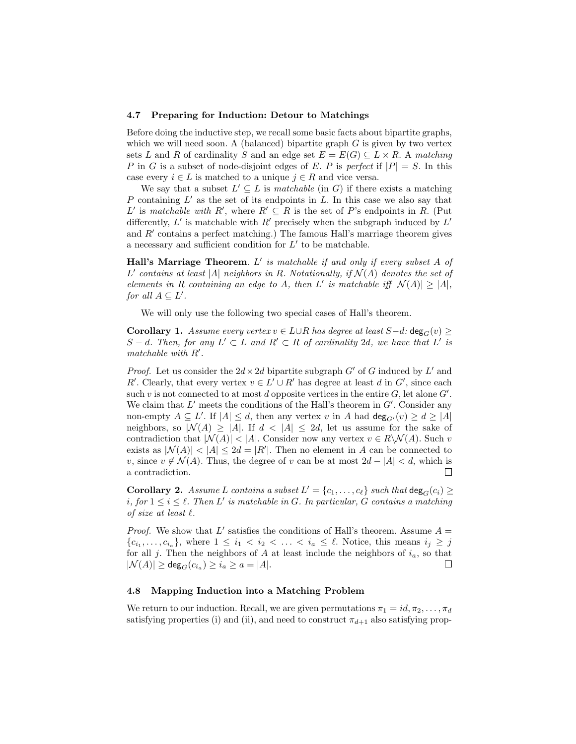#### 4.7 Preparing for Induction: Detour to Matchings

Before doing the inductive step, we recall some basic facts about bipartite graphs, which we will need soon. A (balanced) bipartite graph  $G$  is given by two vertex sets L and R of cardinality S and an edge set  $E = E(G) \subseteq L \times R$ . A matching P in G is a subset of node-disjoint edges of E. P is perfect if  $|P| = S$ . In this case every  $i \in L$  is matched to a unique  $j \in R$  and vice versa.

We say that a subset  $L' \subseteq L$  is *matchable* (in G) if there exists a matching P containing  $L'$  as the set of its endpoints in  $L$ . In this case we also say that L' is matchable with R', where  $R' \subseteq R$  is the set of P's endpoints in R. (Put differently,  $L'$  is matchable with  $R'$  precisely when the subgraph induced by  $L'$ and  $R'$  contains a perfect matching.) The famous Hall's marriage theorem gives a necessary and sufficient condition for  $L'$  to be matchable.

Hall's Marriage Theorem.  $L'$  is matchable if and only if every subset  $A$  of L' contains at least |A| neighbors in R. Notationally, if  $\mathcal{N}(A)$  denotes the set of elements in R containing an edge to A, then L' is matchable iff  $|\mathcal{N}(A)| \geq |A|$ , for all  $A \subseteq L'$ .

We will only use the following two special cases of Hall's theorem.

Corollary 1. Assume every vertex  $v \in L \cup R$  has degree at least  $S-d$ : deg<sub> $G(v)$ </sub> ≥  $S-d.$  Then, for any  $L' \subset L$  and  $R' \subset R$  of cardinality 2d, we have that  $L'$  is matchable with  $R'$ .

*Proof.* Let us consider the  $2d \times 2d$  bipartite subgraph G' of G induced by L' and R'. Clearly, that every vertex  $v \in L' \cup R'$  has degree at least d in G', since each such  $v$  is not connected to at most  $d$  opposite vertices in the entire  $G$ , let alone  $G'$ . We claim that  $L'$  meets the conditions of the Hall's theorem in  $G'$ . Consider any non-empty  $A \subseteq L'$ . If  $|A| \leq d$ , then any vertex v in A had  $\deg_{G'}(v) \geq d \geq |A|$ neighbors, so  $|\mathcal{N}(A)| \geq |A|$ . If  $d < |A| \leq 2d$ , let us assume for the sake of contradiction that  $|\mathcal{N}(A)| < |A|$ . Consider now any vertex  $v \in R \backslash \mathcal{N}(A)$ . Such v exists as  $|\mathcal{N}(A)| < |A| \leq 2d = |R'|$ . Then no element in A can be connected to v, since  $v \notin \mathcal{N}(A)$ . Thus, the degree of v can be at most  $2d - |A| < d$ , which is  $\Box$ a contradiction.

**Corollary 2.** Assume L contains a subset  $L' = \{c_1, \ldots, c_\ell\}$  such that  $\deg_G(c_i) \geq$ i, for  $1 \leq i \leq \ell$ . Then L' is matchable in G. In particular, G contains a matching of size at least  $\ell$ .

*Proof.* We show that  $L'$  satisfies the conditions of Hall's theorem. Assume  $A =$  $\{c_{i_1},\ldots,c_{i_a}\}\$ , where  $1 \leq i_1 < i_2 < \ldots < i_a \leq \ell$ . Notice, this means  $i_j \geq j$ for all j. Then the neighbors of A at least include the neighbors of  $i_a$ , so that  $|\mathcal{N}(A)| \ge \deg_G(c_{i_a}) \ge i_a \ge a = |A|.$  $\mathbb{R}^n$ 

### 4.8 Mapping Induction into a Matching Problem

We return to our induction. Recall, we are given permutations  $\pi_1 = id, \pi_2, \ldots, \pi_d$ satisfying properties (i) and (ii), and need to construct  $\pi_{d+1}$  also satisfying prop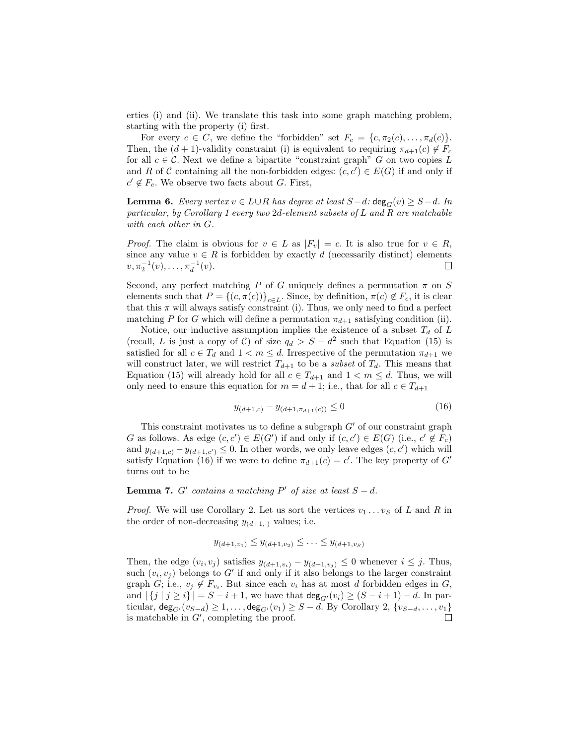erties (i) and (ii). We translate this task into some graph matching problem, starting with the property (i) first.

For every  $c \in C$ , we define the "forbidden" set  $F_c = \{c, \pi_2(c), \ldots, \pi_d(c)\}.$ Then, the  $(d + 1)$ -validity constraint (i) is equivalent to requiring  $\pi_{d+1}(c) \notin F_c$ for all  $c \in \mathcal{C}$ . Next we define a bipartite "constraint graph" G on two copies L and R of C containing all the non-forbidden edges:  $(c, c') \in E(G)$  if and only if  $c' \notin F_c$ . We observe two facts about G. First,

**Lemma 6.** Every vertex  $v \in L \cup R$  has degree at least  $S - d$ : deg<sub> $G$ </sub>(v) ≥  $S - d$ . In particular, by Corollary 1 every two 2d-element subsets of L and R are matchable with each other in G.

*Proof.* The claim is obvious for  $v \in L$  as  $|F_v| = c$ . It is also true for  $v \in R$ , since any value  $v \in R$  is forbidden by exactly d (necessarily distinct) elements  $v, \pi_2^{-1}(v), \ldots, \pi_d^{-1}(v).$  $\Box$ 

Second, any perfect matching P of G uniquely defines a permutation  $\pi$  on S elements such that  $P = \{(c, \pi(c))\}_{c \in L}$ . Since, by definition,  $\pi(c) \notin F_c$ , it is clear that this  $\pi$  will always satisfy constraint (i). Thus, we only need to find a perfect matching P for G which will define a permutation  $\pi_{d+1}$  satisfying condition (ii).

Notice, our inductive assumption implies the existence of a subset  $T_d$  of L (recall, L is just a copy of C) of size  $q_d > S - d^2$  such that Equation (15) is satisfied for all  $c \in T_d$  and  $1 < m \leq d$ . Irrespective of the permutation  $\pi_{d+1}$  we will construct later, we will restrict  $T_{d+1}$  to be a *subset* of  $T_d$ . This means that Equation (15) will already hold for all  $c \in T_{d+1}$  and  $1 < m \le d$ . Thus, we will only need to ensure this equation for  $m = d + 1$ ; i.e., that for all  $c \in T_{d+1}$ 

$$
y_{(d+1,c)} - y_{(d+1,\pi_{d+1}(c))} \le 0 \tag{16}
$$

This constraint motivates us to define a subgraph  $G'$  of our constraint graph G as follows. As edge  $(c, c') \in E(G')$  if and only if  $(c, c') \in E(G)$  (i.e.,  $c' \notin F_c$ ) and  $y_{(d+1,c)} - y_{(d+1,c')} \leq 0$ . In other words, we only leave edges  $(c, c')$  which will satisfy Equation (16) if we were to define  $\pi_{d+1}(c) = c'$ . The key property of G' turns out to be

**Lemma 7.** G' contains a matching P' of size at least  $S - d$ .

*Proof.* We will use Corollary 2. Let us sort the vertices  $v_1 \ldots v_S$  of L and R in the order of non-decreasing  $y_{(d+1,\cdot)}$  values; i.e.

$$
y_{(d+1,v_1)} \leq y_{(d+1,v_2)} \leq \ldots \leq y_{(d+1,v_S)}
$$

Then, the edge  $(v_i, v_j)$  satisfies  $y_{(d+1,v_i)} - y_{(d+1,v_j)} \leq 0$  whenever  $i \leq j$ . Thus, such  $(v_i, v_j)$  belongs to G' if and only if it also belongs to the larger constraint graph G; i.e.,  $v_j \notin F_{v_i}$ . But since each  $v_i$  has at most d forbidden edges in G, and  $|\{j \mid j \geq i\}| = S - i + 1$ , we have that  $\deg_{G'}(v_i) \geq (S - i + 1) - d$ . In particular, deg<sub>G'</sub> $(v_{S-d}) \geq 1, \ldots$ , deg<sub>G'</sub> $(v_1) \geq S-d$ . By Corollary 2,  $\{v_{S-d}, \ldots, v_1\}$ is matchable in  $G'$ , completing the proof.  $\Box$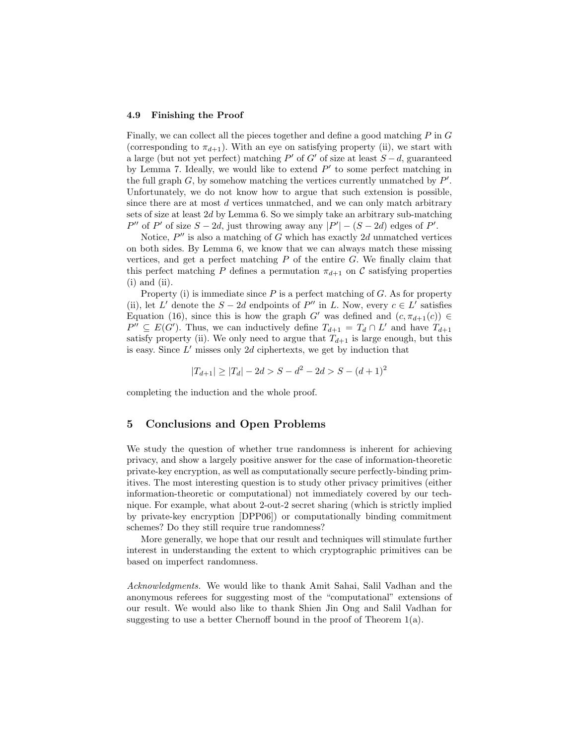#### 4.9 Finishing the Proof

Finally, we can collect all the pieces together and define a good matching P in G (corresponding to  $\pi_{d+1}$ ). With an eye on satisfying property (ii), we start with a large (but not yet perfect) matching  $P'$  of  $G'$  of size at least  $S - d$ , guaranteed by Lemma 7. Ideally, we would like to extend  $P'$  to some perfect matching in the full graph  $G$ , by somehow matching the vertices currently unmatched by  $P'$ . Unfortunately, we do not know how to argue that such extension is possible, since there are at most d vertices unmatched, and we can only match arbitrary sets of size at least 2d by Lemma 6. So we simply take an arbitrary sub-matching  $P''$  of  $P'$  of size  $S - 2d$ , just throwing away any  $|P'| - (S - 2d)$  edges of  $P'$ .

Notice,  $P''$  is also a matching of G which has exactly 2d unmatched vertices on both sides. By Lemma 6, we know that we can always match these missing vertices, and get a perfect matching  $P$  of the entire  $G$ . We finally claim that this perfect matching P defines a permutation  $\pi_{d+1}$  on C satisfying properties  $(i)$  and  $(ii)$ .

Property (i) is immediate since  $P$  is a perfect matching of  $G$ . As for property (ii), let L' denote the  $S - 2d$  endpoints of P'' in L. Now, every  $c \in L'$  satisfies Equation (16), since this is how the graph G' was defined and  $(c, \pi_{d+1}(c)) \in$  $P'' \subseteq E(G')$ . Thus, we can inductively define  $T_{d+1} = T_d \cap L'$  and have  $T_{d+1}$ satisfy property (ii). We only need to argue that  $T_{d+1}$  is large enough, but this is easy. Since  $L'$  misses only 2d ciphertexts, we get by induction that

$$
|T_{d+1}| \ge |T_d| - 2d > S - d^2 - 2d > S - (d+1)^2
$$

completing the induction and the whole proof.

### 5 Conclusions and Open Problems

We study the question of whether true randomness is inherent for achieving privacy, and show a largely positive answer for the case of information-theoretic private-key encryption, as well as computationally secure perfectly-binding primitives. The most interesting question is to study other privacy primitives (either information-theoretic or computational) not immediately covered by our technique. For example, what about 2-out-2 secret sharing (which is strictly implied by private-key encryption [DPP06]) or computationally binding commitment schemes? Do they still require true randomness?

More generally, we hope that our result and techniques will stimulate further interest in understanding the extent to which cryptographic primitives can be based on imperfect randomness.

Acknowledgments. We would like to thank Amit Sahai, Salil Vadhan and the anonymous referees for suggesting most of the "computational" extensions of our result. We would also like to thank Shien Jin Ong and Salil Vadhan for suggesting to use a better Chernoff bound in the proof of Theorem 1(a).